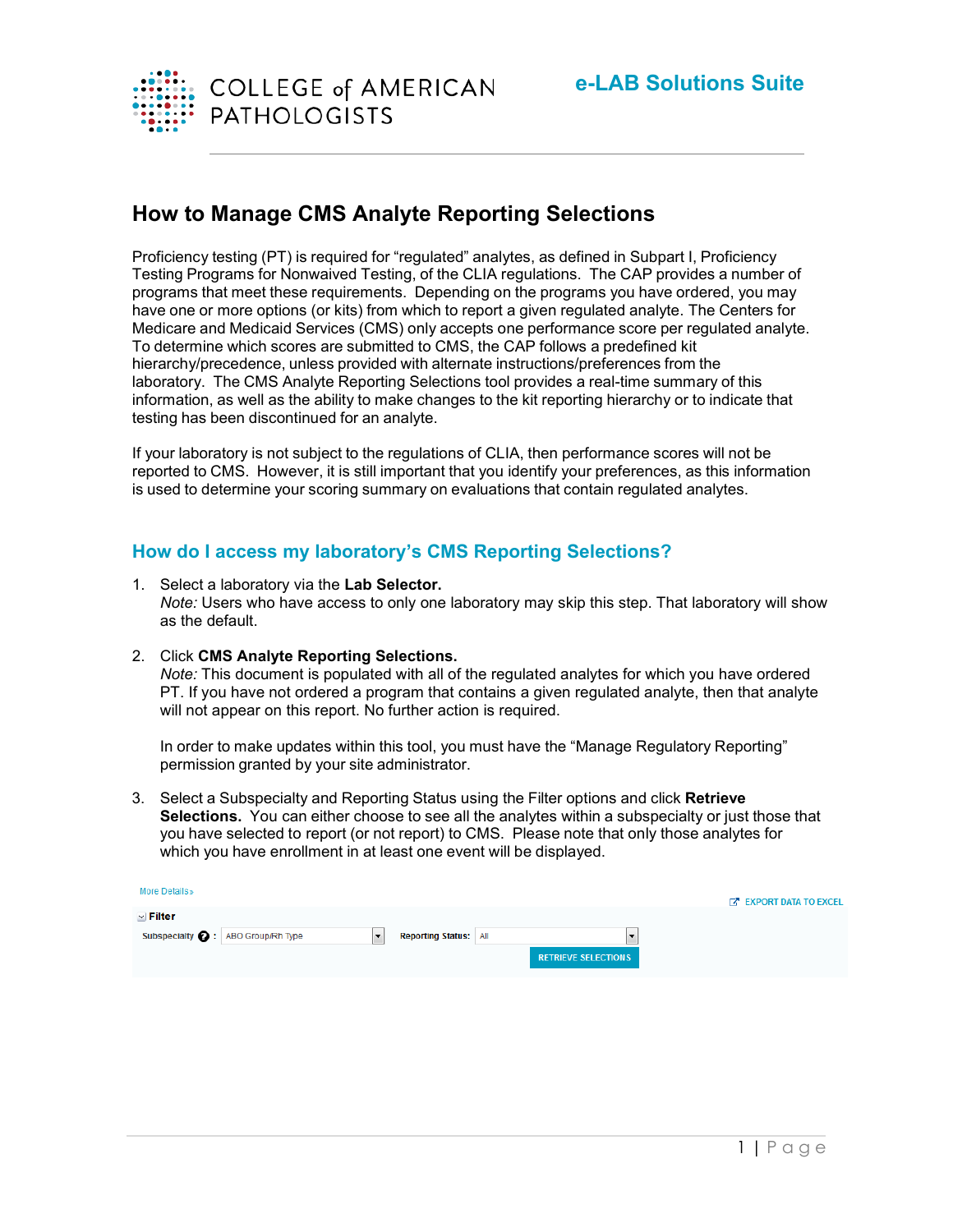

# **How to Manage CMS Analyte Reporting Selections**

Proficiency testing (PT) is required for "regulated" analytes, as defined in Subpart I, Proficiency Testing Programs for Nonwaived Testing, of the CLIA regulations. The CAP provides a number of programs that meet these requirements. Depending on the programs you have ordered, you may have one or more options (or kits) from which to report a given regulated analyte. The Centers for Medicare and Medicaid Services (CMS) only accepts one performance score per regulated analyte. To determine which scores are submitted to CMS, the CAP follows a predefined kit hierarchy/precedence, unless provided with alternate instructions/preferences from the laboratory. The CMS Analyte Reporting Selections tool provides a real-time summary of this information, as well as the ability to make changes to the kit reporting hierarchy or to indicate that testing has been discontinued for an analyte.

If your laboratory is not subject to the regulations of CLIA, then performance scores will not be reported to CMS. However, it is still important that you identify your preferences, as this information is used to determine your scoring summary on evaluations that contain regulated analytes.

## **How do I access my laboratory's CMS Reporting Selections?**

- 1. Select a laboratory via the **Lab Selector.** *Note:* Users who have access to only one laboratory may skip this step. That laboratory will show as the default.
- 2. Click **CMS Analyte Reporting Selections.**

*Note:* This document is populated with all of the regulated analytes for which you have ordered PT. If you have not ordered a program that contains a given regulated analyte, then that analyte will not appear on this report. No further action is required.

In order to make updates within this tool, you must have the "Manage Regulatory Reporting" permission granted by your site administrator.

3. Select a Subspecialty and Reporting Status using the Filter options and click **Retrieve Selections.** You can either choose to see all the analytes within a subspecialty or just those that you have selected to report (or not report) to CMS. Please note that only those analytes for which you have enrollment in at least one event will be displayed.

| More Details»                                      |                              |                                                        | <b>EXPORT DATA TO EXCEL</b> |
|----------------------------------------------------|------------------------------|--------------------------------------------------------|-----------------------------|
| $\vee$ Filter<br>Subspecialty @: ABO Group/Rh Type | <b>Reporting Status:</b> All | $\overline{\phantom{a}}$<br><b>RETRIEVE SELECTIONS</b> |                             |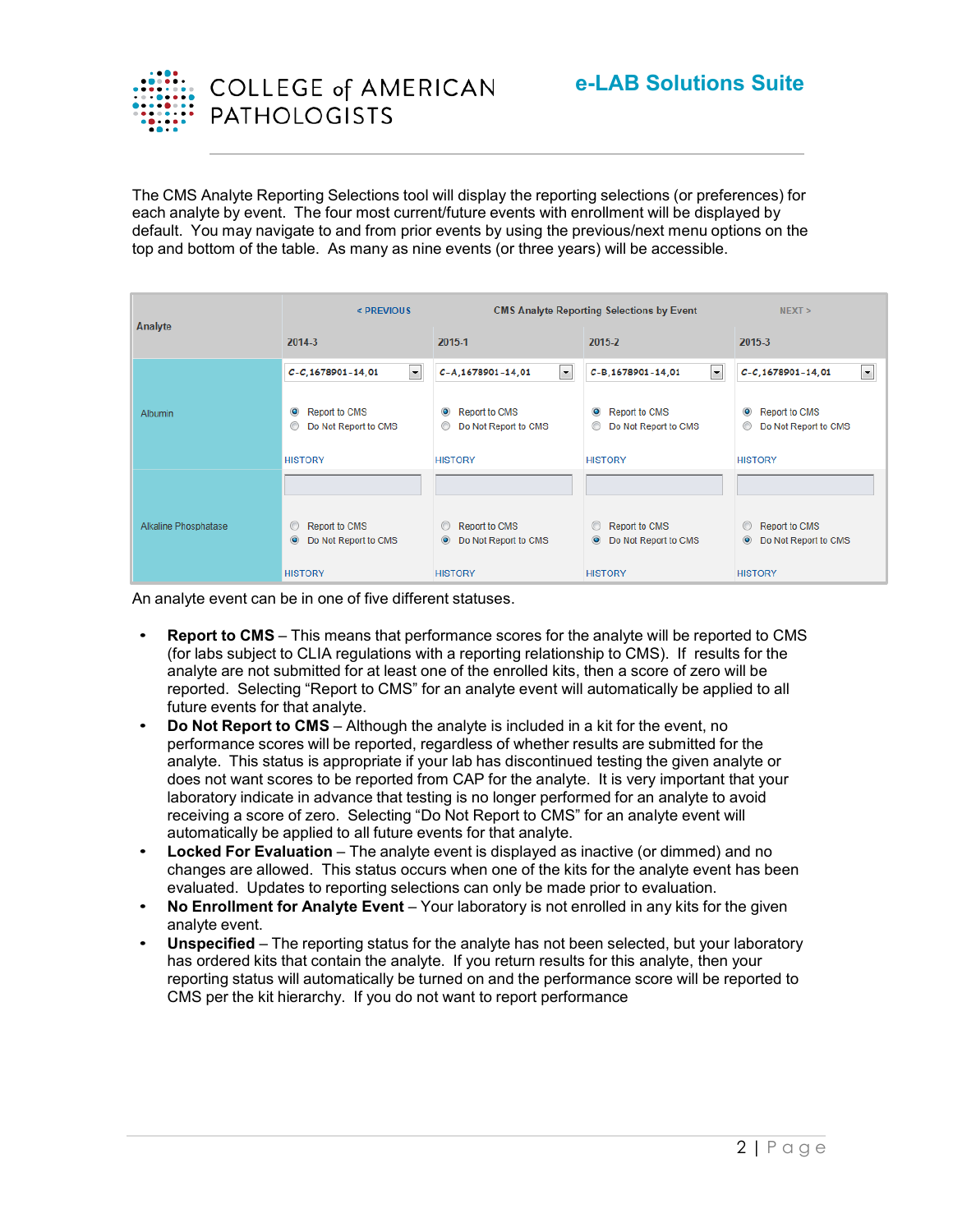

The CMS Analyte Reporting Selections tool will display the reporting selections (or preferences) for each analyte by event. The four most current/future events with enrollment will be displayed by default. You may navigate to and from prior events by using the previous/next menu options on the top and bottom of the table. As many as nine events (or three years) will be accessible.

|                      | < PREVIOUS                                                                  | <b>CMS Analyte Reporting Selections by Event</b>                            |                                                                             | NEXT >                                                              |  |
|----------------------|-----------------------------------------------------------------------------|-----------------------------------------------------------------------------|-----------------------------------------------------------------------------|---------------------------------------------------------------------|--|
| Analyte              | 2014-3                                                                      | 2015-1                                                                      | 2015-2                                                                      | 2015-3                                                              |  |
|                      | $\overline{\phantom{a}}$<br>$C-C$ , 1678901-14, 01                          | $\vert \cdot \vert$<br>C-A, 1678901-14, 01                                  | $\blacksquare$<br>C-B, 1678901-14, 01                                       | $\overline{\phantom{a}}$<br>$C-C$ , 1678901-14, 01                  |  |
| Albumin              | $\bullet$<br><b>Report to CMS</b><br>$\circledcirc$<br>Do Not Report to CMS | $\bullet$<br><b>Report to CMS</b><br>Do Not Report to CMS<br>$\circledcirc$ | $\bullet$<br><b>Report to CMS</b><br>$\circledcirc$<br>Do Not Report to CMS | $\circledcirc$<br><b>Report to CMS</b><br>⊙<br>Do Not Report to CMS |  |
|                      | <b>HISTORY</b>                                                              | <b>HISTORY</b>                                                              | <b>HISTORY</b>                                                              | <b>HISTORY</b>                                                      |  |
|                      |                                                                             |                                                                             |                                                                             |                                                                     |  |
| Alkaline Phosphatase | $\circ$<br><b>Report to CMS</b><br>$\odot$<br>Do Not Report to CMS          | Report to CMS<br>© Do Not Report to CMS                                     | $\circ$<br><b>Report to CMS</b><br>$\odot$<br>Do Not Report to CMS          | <b>Report to CMS</b><br>$\circ$<br>$\odot$<br>Do Not Report to CMS  |  |
|                      | <b>HISTORY</b>                                                              | <b>HISTORY</b>                                                              | <b>HISTORY</b>                                                              | <b>HISTORY</b>                                                      |  |

An analyte event can be in one of five different statuses.

- **Report to CMS** This means that performance scores for the analyte will be reported to CMS (for labs subject to CLIA regulations with a reporting relationship to CMS). If results for the analyte are not submitted for at least one of the enrolled kits, then a score of zero will be reported. Selecting "Report to CMS" for an analyte event will automatically be applied to all future events for that analyte.
- **Do Not Report to CMS** Although the analyte is included in a kit for the event, no performance scores will be reported, regardless of whether results are submitted for the analyte. This status is appropriate if your lab has discontinued testing the given analyte or does not want scores to be reported from CAP for the analyte. It is very important that your laboratory indicate in advance that testing is no longer performed for an analyte to avoid receiving a score of zero. Selecting "Do Not Report to CMS" for an analyte event will automatically be applied to all future events for that analyte.
- **Locked For Evaluation** The analyte event is displayed as inactive (or dimmed) and no changes are allowed. This status occurs when one of the kits for the analyte event has been evaluated. Updates to reporting selections can only be made prior to evaluation.
- **No Enrollment for Analyte Event** Your laboratory is not enrolled in any kits for the given analyte event.
- **Unspecified** The reporting status for the analyte has not been selected, but your laboratory has ordered kits that contain the analyte. If you return results for this analyte, then your reporting status will automatically be turned on and the performance score will be reported to CMS per the kit hierarchy. If you do not want to report performance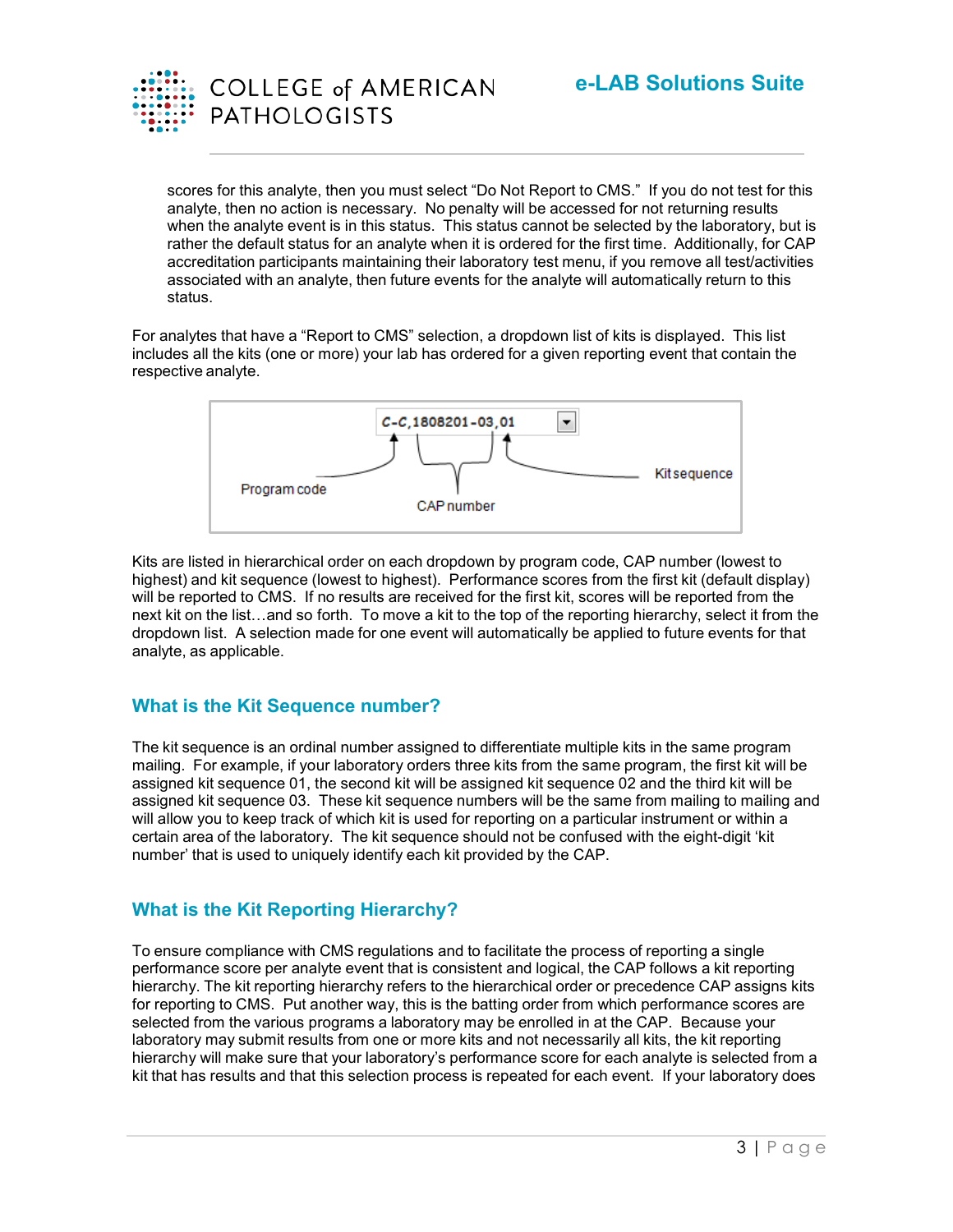

scores for this analyte, then you must select "Do Not Report to CMS." If you do not test for this analyte, then no action is necessary. No penalty will be accessed for not returning results when the analyte event is in this status. This status cannot be selected by the laboratory, but is rather the default status for an analyte when it is ordered for the first time. Additionally, for CAP accreditation participants maintaining their laboratory test menu, if you remove all test/activities associated with an analyte, then future events for the analyte will automatically return to this status.

For analytes that have a "Report to CMS" selection, a dropdown list of kits is displayed. This list includes all the kits (one or more) your lab has ordered for a given reporting event that contain the respective analyte.



Kits are listed in hierarchical order on each dropdown by program code, CAP number (lowest to highest) and kit sequence (lowest to highest). Performance scores from the first kit (default display) will be reported to CMS. If no results are received for the first kit, scores will be reported from the next kit on the list…and so forth. To move a kit to the top of the reporting hierarchy, select it from the dropdown list. A selection made for one event will automatically be applied to future events for that analyte, as applicable.

#### **What is the Kit Sequence number?**

The kit sequence is an ordinal number assigned to differentiate multiple kits in the same program mailing. For example, if your laboratory orders three kits from the same program, the first kit will be assigned kit sequence 01, the second kit will be assigned kit sequence 02 and the third kit will be assigned kit sequence 03. These kit sequence numbers will be the same from mailing to mailing and will allow you to keep track of which kit is used for reporting on a particular instrument or within a certain area of the laboratory. The kit sequence should not be confused with the eight-digit 'kit number' that is used to uniquely identify each kit provided by the CAP.

#### **What is the Kit Reporting Hierarchy?**

To ensure compliance with CMS regulations and to facilitate the process of reporting a single performance score per analyte event that is consistent and logical, the CAP follows a kit reporting hierarchy. The kit reporting hierarchy refers to the hierarchical order or precedence CAP assigns kits for reporting to CMS. Put another way, this is the batting order from which performance scores are selected from the various programs a laboratory may be enrolled in at the CAP. Because your laboratory may submit results from one or more kits and not necessarily all kits, the kit reporting hierarchy will make sure that your laboratory's performance score for each analyte is selected from a kit that has results and that this selection process is repeated for each event. If your laboratory does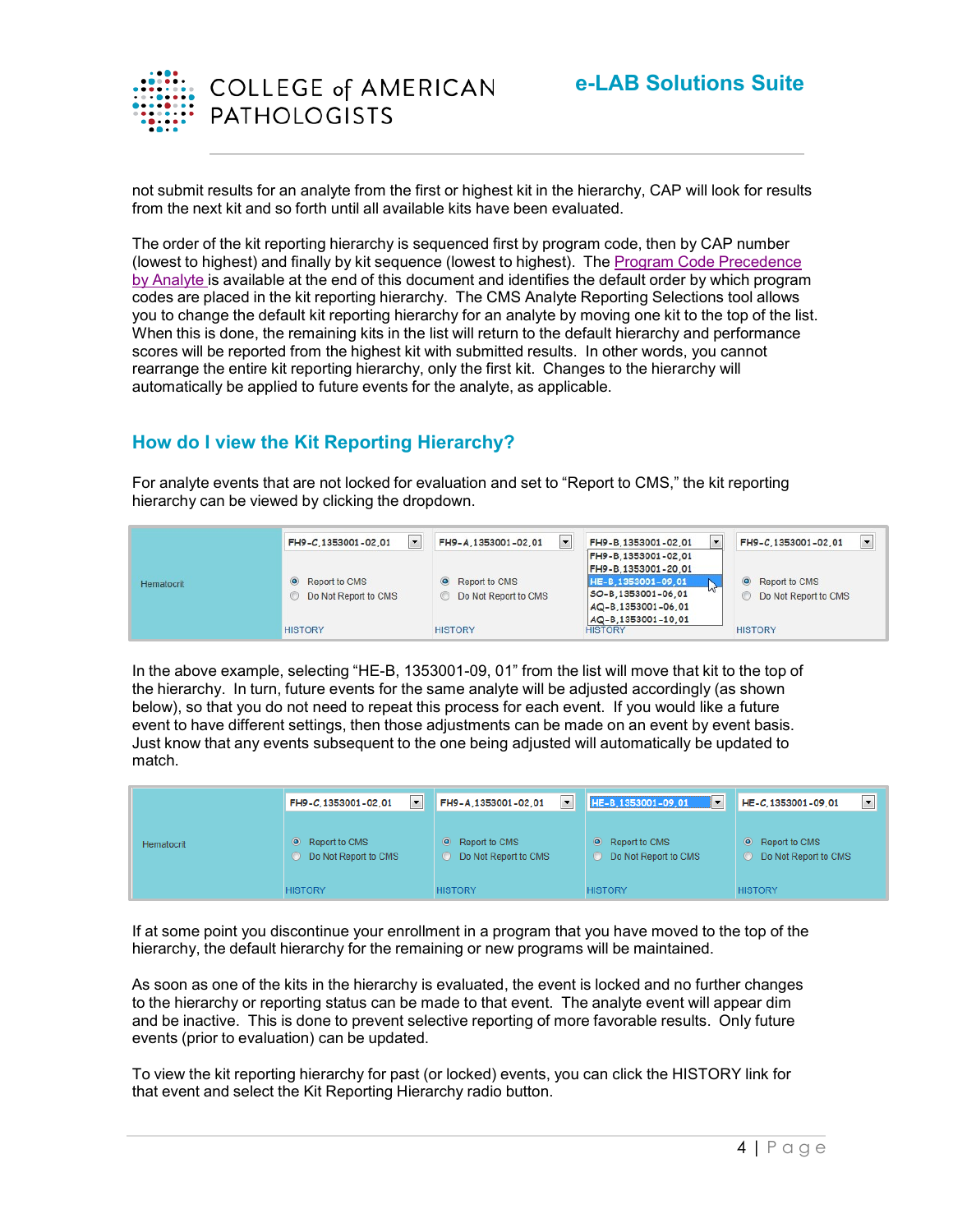

not submit results for an analyte from the first or highest kit in the hierarchy, CAP will look for results from the next kit and so forth until all available kits have been evaluated.

The order of the kit reporting hierarchy is sequenced first by program code, then by CAP number (lowest to highest) and finally by kit sequence (lowest to highest). The Program Code [Precedence](#page-7-0) by [Analyte](#page-7-0) is available at the end of this document and identifies the default order by which program codes are placed in the kit reporting hierarchy. The CMS Analyte Reporting Selections tool allows you to change the default kit reporting hierarchy for an analyte by moving one kit to the top of the list. When this is done, the remaining kits in the list will return to the default hierarchy and performance scores will be reported from the highest kit with submitted results. In other words, you cannot rearrange the entire kit reporting hierarchy, only the first kit. Changes to the hierarchy will automatically be applied to future events for the analyte, as applicable.

# **How do I view the Kit Reporting Hierarchy?**

For analyte events that are not locked for evaluation and set to "Report to CMS," the kit reporting hierarchy can be viewed by clicking the dropdown.

|            | $\overline{\phantom{a}}$<br>FH9-C.1353001-02.01         | FH9-A,1353001-02,01<br>in the                    | FH9-B,1353001-02,01<br>$\overline{\phantom{0}}$                                        | $\overline{\phantom{a}}$<br>FH9-C.1353001-02.01       |
|------------|---------------------------------------------------------|--------------------------------------------------|----------------------------------------------------------------------------------------|-------------------------------------------------------|
| Hematocrit | $\circledcirc$<br>Report to CMS<br>Do Not Report to CMS | • Report to CMS<br><b>O</b> Do Not Report to CMS | FH9-B,1353001-02,01<br>FH9-B,1353001-20,01<br>HE-B,1353001-09,01<br>SO-B.1353001-06.01 | Report to CMS<br>$\circ$<br>Do Not Report to CMS<br>œ |
|            | <b>HISTORY</b>                                          | <b>HISTORY</b>                                   | AQ-B,1353001-06,01<br>AQ-B.1353001-10.01<br><b>HISTORY</b>                             | <b>HISTORY</b>                                        |

In the above example, selecting "HE-B, 1353001-09, 01" from the list will move that kit to the top of the hierarchy. In turn, future events for the same analyte will be adjusted accordingly (as shown below), so that you do not need to repeat this process for each event. If you would like a future event to have different settings, then those adjustments can be made on an event by event basis. Just know that any events subsequent to the one being adjusted will automatically be updated to match.

|            | $\blacktriangledown$ | $\overline{\phantom{a}}$ | $ \cdot $            | HE-C,1353001-09,01       |
|------------|----------------------|--------------------------|----------------------|--------------------------|
|            | FH9-C,1353001-02,01  | FH9-A,1353001-02,01      | HE-B,1353001-09,01   | $\overline{\phantom{0}}$ |
| Hematocrit | $\bullet$            | $\circ$                  | $\bullet$            | $\bullet$                |
|            | Report to CMS        | Report to CMS            | Report to CMS        | Report to CMS            |
|            | Do Not Report to CMS | Do Not Report to CMS     | Do Not Report to CMS | Do Not Report to CMS     |
|            | <b>HISTORY</b>       | <b>HISTORY</b>           | <b>HISTORY</b>       | <b>HISTORY</b>           |

If at some point you discontinue your enrollment in a program that you have moved to the top of the hierarchy, the default hierarchy for the remaining or new programs will be maintained.

As soon as one of the kits in the hierarchy is evaluated, the event is locked and no further changes to the hierarchy or reporting status can be made to that event. The analyte event will appear dim and be inactive. This is done to prevent selective reporting of more favorable results. Only future events (prior to evaluation) can be updated.

To view the kit reporting hierarchy for past (or locked) events, you can click the HISTORY link for that event and select the Kit Reporting Hierarchy radio button.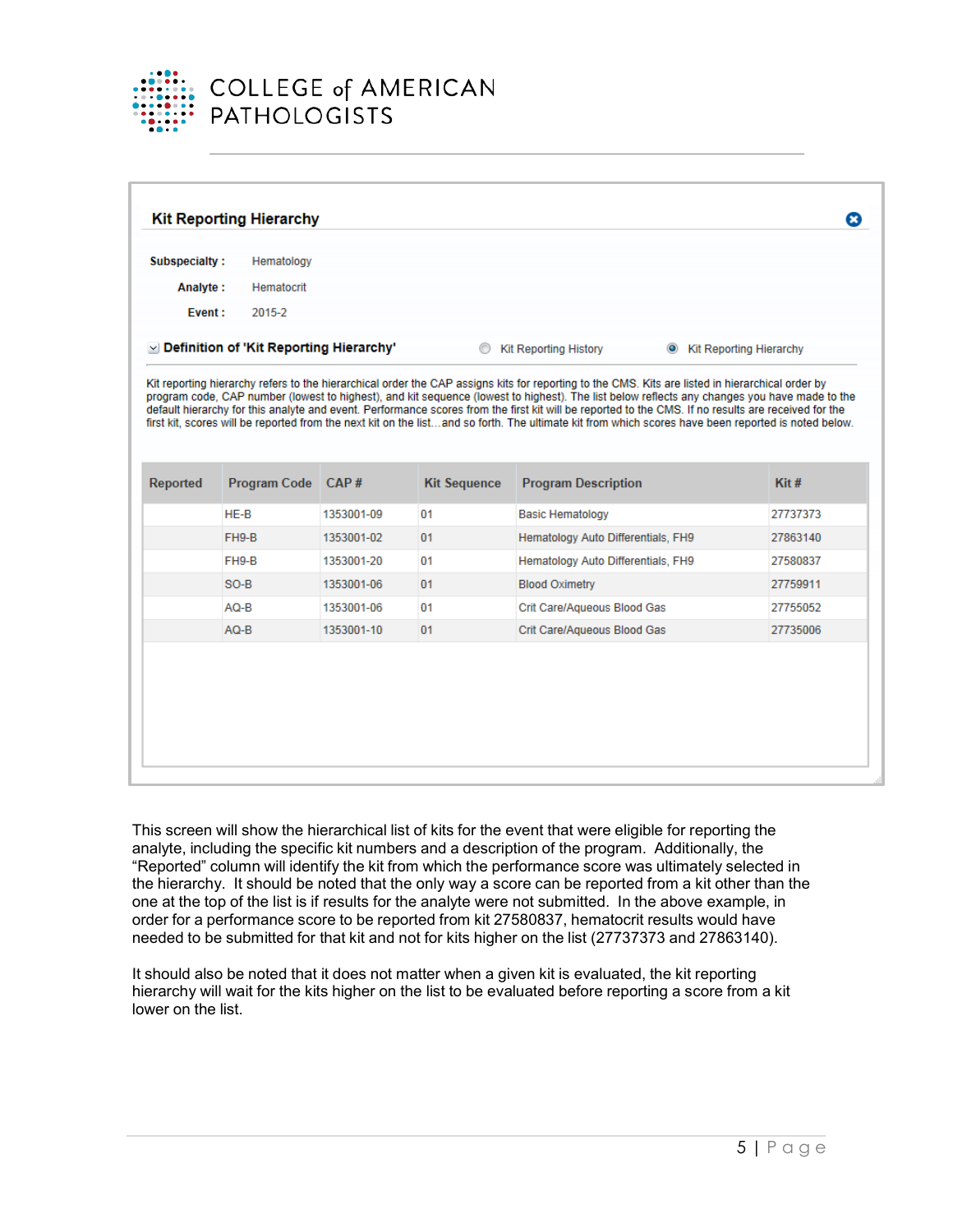

| Subspecialty:   | Hematology                                     |            |                     |                                                                                                                                                                                   |                           |
|-----------------|------------------------------------------------|------------|---------------------|-----------------------------------------------------------------------------------------------------------------------------------------------------------------------------------|---------------------------|
| Analyte:        | Hematocrit                                     |            |                     |                                                                                                                                                                                   |                           |
| Event:          | 2015-2                                         |            |                     |                                                                                                                                                                                   |                           |
|                 | $\vee$ Definition of 'Kit Reporting Hierarchy' |            | ⊙                   | <b>Kit Reporting History</b>                                                                                                                                                      | • Kit Reporting Hierarchy |
| <b>Reported</b> | <b>Program Code</b>                            | CAP#       | <b>Kit Sequence</b> | first kit, scores will be reported from the next kit on the listand so forth. The ultimate kit from which scores have been reported is noted below.<br><b>Program Description</b> | $K$ it #                  |
|                 | $HE-B$                                         | 1353001-09 | 01                  | <b>Basic Hematology</b>                                                                                                                                                           | 27737373                  |
|                 | FH9-B                                          | 1353001-02 | 01                  | Hematology Auto Differentials, FH9                                                                                                                                                | 27863140                  |
|                 | FH9-B                                          | 1353001-20 | 01                  | Hematology Auto Differentials, FH9                                                                                                                                                | 27580837                  |
|                 | $SO-B$                                         | 1353001-06 | 01                  | <b>Blood Oximetry</b>                                                                                                                                                             | 27759911                  |
|                 | AQ-B                                           | 1353001-06 | 01                  | Crit Care/Aqueous Blood Gas                                                                                                                                                       | 27755052                  |
|                 | $AQ-B$                                         | 1353001-10 | 01                  | Crit Care/Aqueous Blood Gas                                                                                                                                                       | 27735006                  |

This screen will show the hierarchical list of kits for the event that were eligible for reporting the analyte, including the specific kit numbers and a description of the program. Additionally, the "Reported" column will identify the kit from which the performance score was ultimately selected in the hierarchy. It should be noted that the only way a score can be reported from a kit other than the one at the top of the list is if results for the analyte were not submitted. In the above example, in order for a performance score to be reported from kit 27580837, hematocrit results would have needed to be submitted for that kit and not for kits higher on the list (27737373 and 27863140).

It should also be noted that it does not matter when a given kit is evaluated, the kit reporting hierarchy will wait for the kits higher on the list to be evaluated before reporting a score from a kit lower on the list.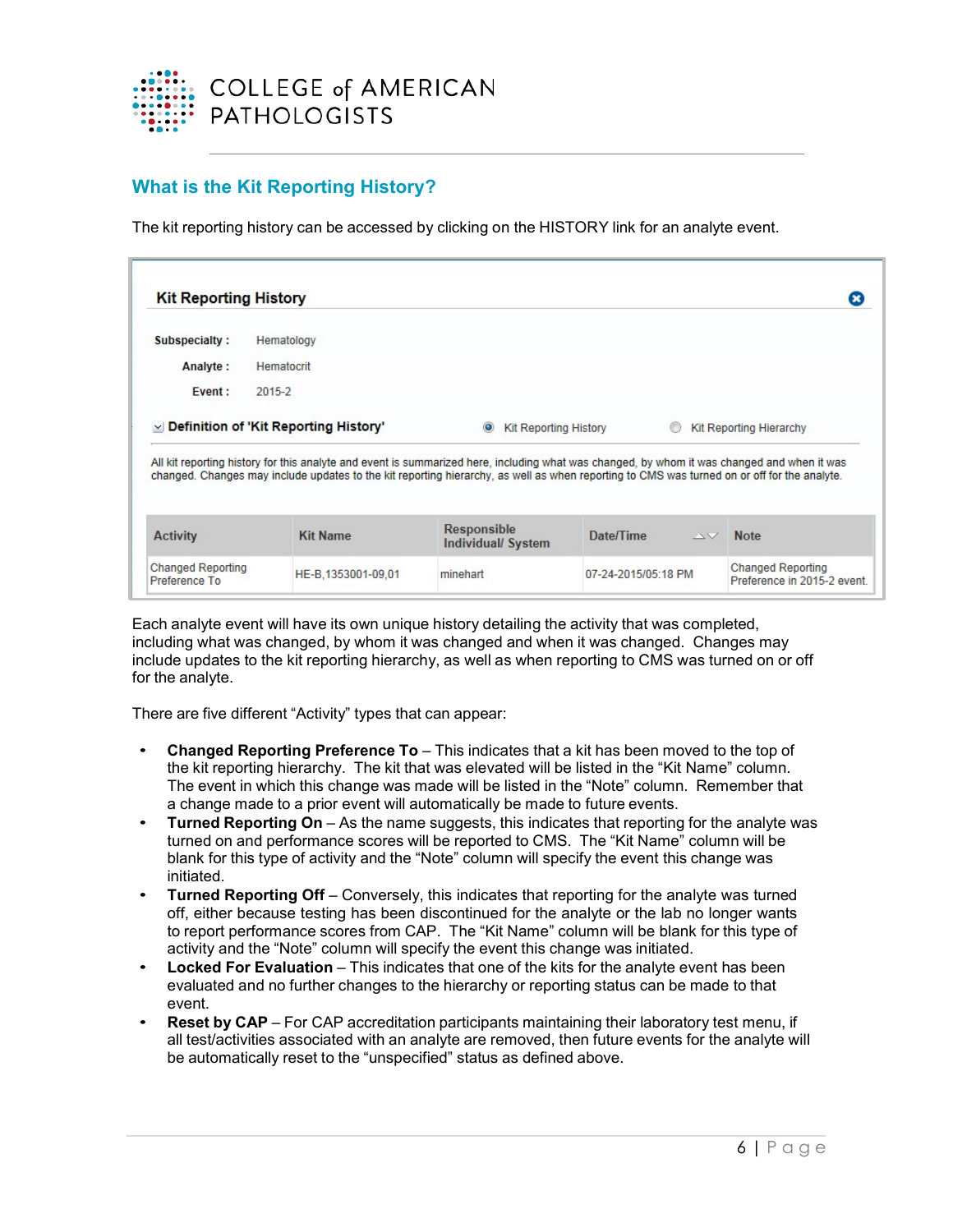

### **What is the Kit Reporting History?**

The kit reporting history can be accessed by clicking on the HISTORY link for an analyte event.

| <b>Kit Reporting History</b> |                                                                                                                                                                                                                                                                                                               |                                         |                              | ×                       |
|------------------------------|---------------------------------------------------------------------------------------------------------------------------------------------------------------------------------------------------------------------------------------------------------------------------------------------------------------|-----------------------------------------|------------------------------|-------------------------|
| Subspecialty:                | Hematology                                                                                                                                                                                                                                                                                                    |                                         |                              |                         |
| Analyte:                     | Hematocrit                                                                                                                                                                                                                                                                                                    |                                         |                              |                         |
| Event:                       | 2015-2                                                                                                                                                                                                                                                                                                        |                                         |                              |                         |
|                              | $\vee$ Definition of 'Kit Reporting History'                                                                                                                                                                                                                                                                  | $\odot$<br><b>Kit Reporting History</b> |                              | Kit Reporting Hierarchy |
|                              | All kit reporting history for this analyte and event is summarized here, including what was changed, by whom it was changed and when it was<br>changed. Changes may include updates to the kit reporting hierarchy, as well as when reporting to CMS was turned on or off for the analyte.<br><b>Kit Name</b> | <b>Responsible</b>                      | Date/Time<br>$\Delta \nabla$ | <b>Note</b>             |
|                              |                                                                                                                                                                                                                                                                                                               | <b>Individual/ System</b>               |                              |                         |
| <b>Activity</b>              |                                                                                                                                                                                                                                                                                                               |                                         |                              |                         |

Each analyte event will have its own unique history detailing the activity that was completed, including what was changed, by whom it was changed and when it was changed. Changes may include updates to the kit reporting hierarchy, as well as when reporting to CMS was turned on or off for the analyte.

There are five different "Activity" types that can appear:

- **Changed Reporting Preference To** This indicates that a kit has been moved to the top of the kit reporting hierarchy. The kit that was elevated will be listed in the "Kit Name" column. The event in which this change was made will be listed in the "Note" column. Remember that a change made to a prior event will automatically be made to future events.
- **Turned Reporting On** As the name suggests, this indicates that reporting for the analyte was turned on and performance scores will be reported to CMS. The "Kit Name" column will be blank for this type of activity and the "Note" column will specify the event this change was initiated.
- **Turned Reporting Off** Conversely, this indicates that reporting for the analyte was turned off, either because testing has been discontinued for the analyte or the lab no longer wants to report performance scores from CAP. The "Kit Name" column will be blank for this type of activity and the "Note" column will specify the event this change was initiated.
- **Locked For Evaluation** This indicates that one of the kits for the analyte event has been evaluated and no further changes to the hierarchy or reporting status can be made to that event.
- **Reset by CAP** For CAP accreditation participants maintaining their laboratory test menu, if all test/activities associated with an analyte are removed, then future events for the analyte will be automatically reset to the "unspecified" status as defined above.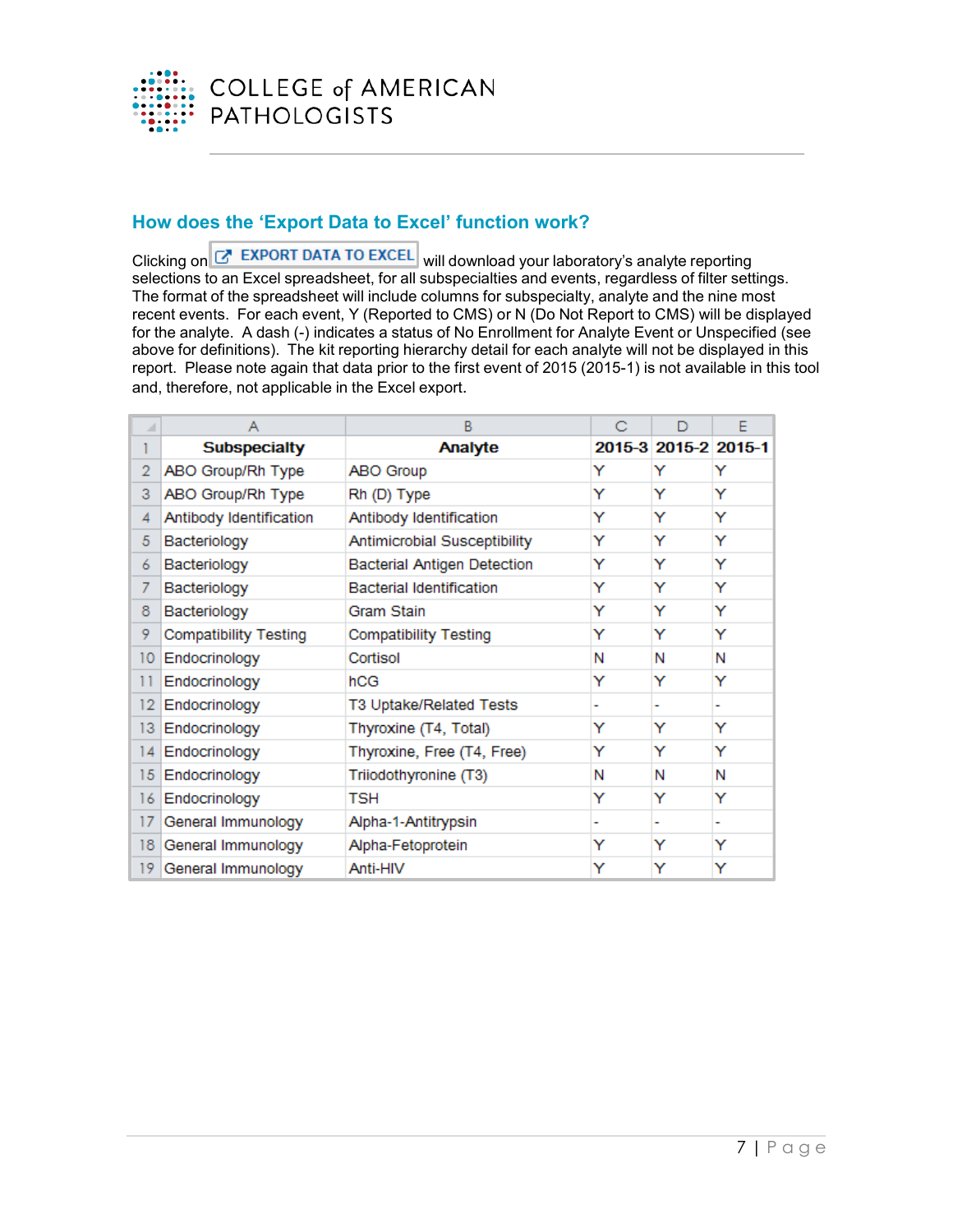

# **How does the 'Export Data to Excel' function work?**

Clicking on G EXPORT DATA TO EXCEL will download your laboratory's analyte reporting selections to an Excel spreadsheet, for all subspecialties and events, regardless of filter settings. The format of the spreadsheet will include columns for subspecialty, analyte and the nine most recent events. For each event, Y (Reported to CMS) or N (Do Not Report to CMS) will be displayed for the analyte. A dash (-) indicates a status of No Enrollment for Analyte Event or Unspecified (see above for definitions). The kit reporting hierarchy detail for each analyte will not be displayed in this report. Please note again that data prior to the first event of 2015 (2015-1) is not available in this tool and, therefore, not applicable in the Excel export.

|                | А                            | B                                  | С | D                    | F |
|----------------|------------------------------|------------------------------------|---|----------------------|---|
|                | <b>Subspecialty</b>          | Analyte                            |   | 2015-3 2015-2 2015-1 |   |
| $\overline{2}$ | ABO Group/Rh Type            | ABO Group                          | Y | Y                    | Y |
| 3              | ABO Group/Rh Type            | Rh (D) Type                        | Y | Y                    | Y |
| 4              | Antibody Identification      | Antibody Identification            | Y | Y                    | Y |
| 5              | Bacteriology                 | Antimicrobial Susceptibility       | Y | Y                    | Y |
| 6              | Bacteriology                 | <b>Bacterial Antigen Detection</b> | Y | Y                    | Y |
| 7              | Bacteriology                 | <b>Bacterial Identification</b>    | Y | Y                    | Y |
| 8              | Bacteriology                 | Gram Stain                         | Y | Y                    | Y |
| 9.             | <b>Compatibility Testing</b> | <b>Compatibility Testing</b>       | Y | Y                    | Y |
| 10             | Endocrinology                | Cortisol                           | Ν | Ν                    | Ν |
| 11             | Endocrinology                | hCG                                | Y | Y                    | Y |
| 12             | Endocrinology                | T3 Uptake/Related Tests            | ۰ |                      | ۰ |
| 13             | Endocrinology                | Thyroxine (T4, Total)              | Y | Y                    | Y |
| 14             | Endocrinology                | Thyroxine, Free (T4, Free)         | Y | Y                    | Y |
| 15             | Endocrinology                | Triiodothyronine (T3)              | Ν | N                    | N |
| 16             | Endocrinology                | TSH                                | Y | Y                    | Y |
| 17             | General Immunology           | Alpha-1-Antitrypsin                | ۰ |                      | ۰ |
| 18             | General Immunology           | Alpha-Fetoprotein                  | Y | Y                    | Y |
| 19             | General Immunology           | Anti-HIV                           | Y | Y                    | Y |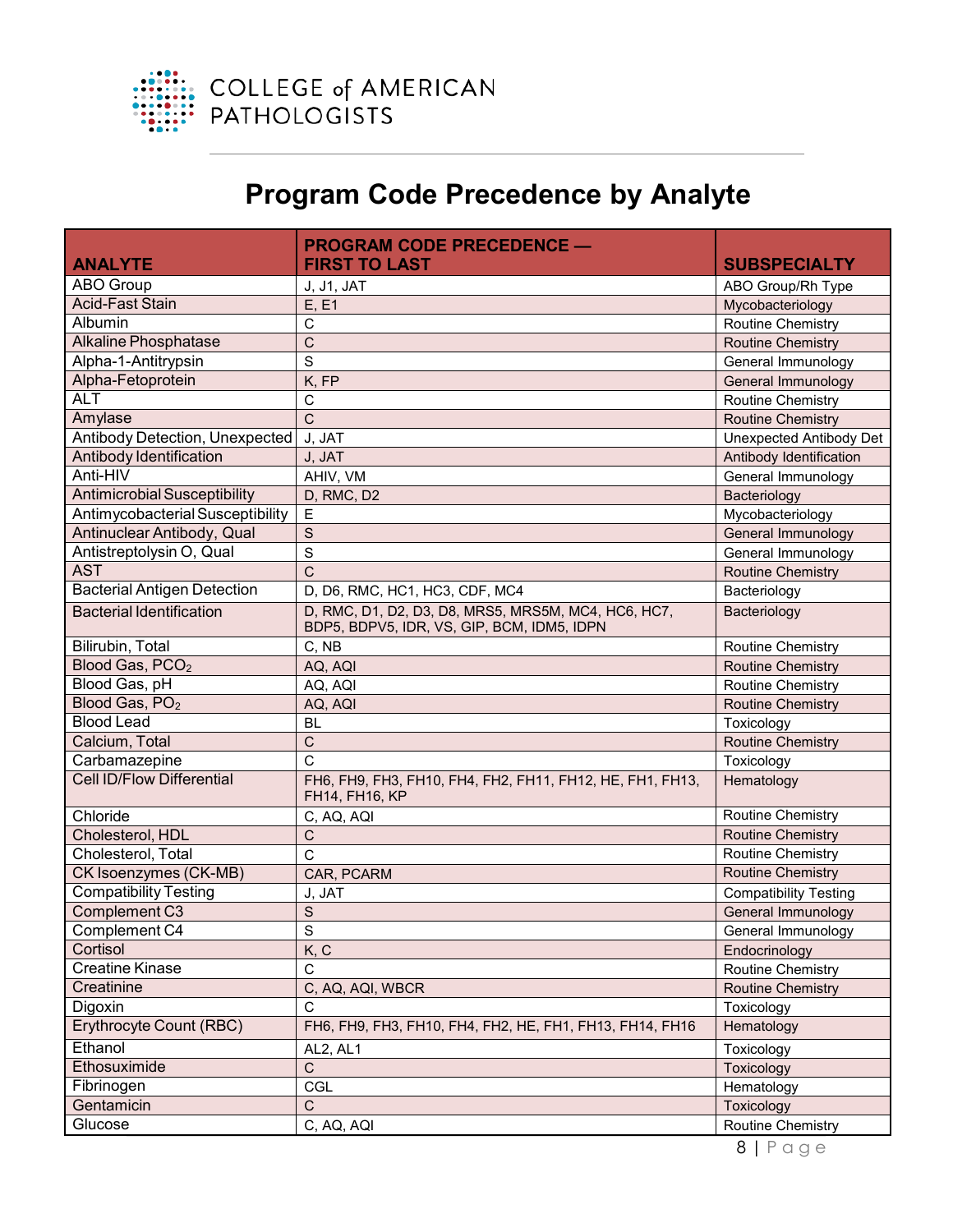

# **Program Code Precedence by Analyte**

<span id="page-7-0"></span>

| <b>ABO Group</b><br>J, J1, JAT<br>ABO Group/Rh Type<br>Acid-Fast Stain<br>E, E1<br>Mycobacteriology<br>Albumin<br>$\mathsf{C}$<br><b>Routine Chemistry</b><br>$\mathsf{C}$<br><b>Alkaline Phosphatase</b><br><b>Routine Chemistry</b><br>Alpha-1-Antitrypsin<br>S<br>General Immunology<br>Alpha-Fetoprotein<br>General Immunology<br>K, FP<br><b>ALT</b><br>C<br><b>Routine Chemistry</b><br>$\mathsf{C}$<br>Amylase<br><b>Routine Chemistry</b><br>Antibody Detection, Unexpected<br>Unexpected Antibody Det<br>J, JAT<br>Antibody Identification<br>Antibody Identification<br>J, JAT<br>Anti-HIV<br>AHIV, VM<br>General Immunology<br>Antimicrobial Susceptibility<br>D, RMC, D2<br>Bacteriology<br>Antimycobacterial Susceptibility<br>E<br>Mycobacteriology<br>Antinuclear Antibody, Qual<br>$\mathsf{S}$<br>General Immunology<br>S<br>Antistreptolysin O, Qual<br>General Immunology<br><b>AST</b><br>$\overline{C}$<br><b>Routine Chemistry</b><br><b>Bacterial Antigen Detection</b><br>D, D6, RMC, HC1, HC3, CDF, MC4<br>Bacteriology<br>D, RMC, D1, D2, D3, D8, MRS5, MRS5M, MC4, HC6, HC7,<br><b>Bacterial Identification</b><br>Bacteriology<br>BDP5, BDPV5, IDR, VS, GIP, BCM, IDM5, IDPN<br>Bilirubin, Total<br>C, NB<br><b>Routine Chemistry</b><br>Blood Gas, PCO <sub>2</sub><br>AQ, AQI<br><b>Routine Chemistry</b><br>Blood Gas, pH<br>AQ, AQI<br>Routine Chemistry<br>Blood Gas, PO <sub>2</sub><br><b>Routine Chemistry</b><br>AQ, AQI<br><b>Blood Lead</b><br>Toxicology<br><b>BL</b><br>Calcium, Total<br>$\mathsf{C}$<br><b>Routine Chemistry</b><br>Carbamazepine<br>C<br>Toxicology<br><b>Cell ID/Flow Differential</b><br>FH6, FH9, FH3, FH10, FH4, FH2, FH11, FH12, HE, FH1, FH13,<br>Hematology<br>FH14, FH16, KP<br>Routine Chemistry<br>Chloride<br>C, AQ, AQI<br><b>Routine Chemistry</b><br>Cholesterol, HDL<br>$\mathsf C$<br>Cholesterol, Total<br>C<br>Routine Chemistry<br><b>CK Isoenzymes (CK-MB)</b><br><b>Routine Chemistry</b><br>CAR, PCARM<br><b>Compatibility Testing</b><br><b>Compatibility Testing</b><br>J, JAT<br>Complement C3<br>$\mathbf S$<br>General Immunology<br>Complement C4<br>S<br>General Immunology<br>Cortisol<br>K, C<br>Endocrinology<br><b>Creatine Kinase</b><br>$\mathsf{C}$<br>Routine Chemistry<br>Creatinine<br>C, AQ, AQI, WBCR<br><b>Routine Chemistry</b><br>Digoxin<br>C<br>Toxicology<br><b>Erythrocyte Count (RBC)</b><br>FH6, FH9, FH3, FH10, FH4, FH2, HE, FH1, FH13, FH14, FH16<br>Hematology<br>Ethanol<br>AL2, AL1<br>Toxicology<br>Ethosuximide<br>$\mathsf C$<br>Toxicology<br>Fibrinogen<br><b>CGL</b><br>Hematology<br>Gentamicin<br>$\mathsf C$<br>Toxicology<br>Glucose<br>Routine Chemistry | <b>ANALYTE</b> | <b>PROGRAM CODE PRECEDENCE -</b><br><b>FIRST TO LAST</b> | <b>SUBSPECIALTY</b> |
|-----------------------------------------------------------------------------------------------------------------------------------------------------------------------------------------------------------------------------------------------------------------------------------------------------------------------------------------------------------------------------------------------------------------------------------------------------------------------------------------------------------------------------------------------------------------------------------------------------------------------------------------------------------------------------------------------------------------------------------------------------------------------------------------------------------------------------------------------------------------------------------------------------------------------------------------------------------------------------------------------------------------------------------------------------------------------------------------------------------------------------------------------------------------------------------------------------------------------------------------------------------------------------------------------------------------------------------------------------------------------------------------------------------------------------------------------------------------------------------------------------------------------------------------------------------------------------------------------------------------------------------------------------------------------------------------------------------------------------------------------------------------------------------------------------------------------------------------------------------------------------------------------------------------------------------------------------------------------------------------------------------------------------------------------------------------------------------------------------------------------------------------------------------------------------------------------------------------------------------------------------------------------------------------------------------------------------------------------------------------------------------------------------------------------------------------------------------------------------------------------------------------------------------------------------------------------------------------------------------------------------------------------------------------------------------------|----------------|----------------------------------------------------------|---------------------|
|                                                                                                                                                                                                                                                                                                                                                                                                                                                                                                                                                                                                                                                                                                                                                                                                                                                                                                                                                                                                                                                                                                                                                                                                                                                                                                                                                                                                                                                                                                                                                                                                                                                                                                                                                                                                                                                                                                                                                                                                                                                                                                                                                                                                                                                                                                                                                                                                                                                                                                                                                                                                                                                                                         |                |                                                          |                     |
|                                                                                                                                                                                                                                                                                                                                                                                                                                                                                                                                                                                                                                                                                                                                                                                                                                                                                                                                                                                                                                                                                                                                                                                                                                                                                                                                                                                                                                                                                                                                                                                                                                                                                                                                                                                                                                                                                                                                                                                                                                                                                                                                                                                                                                                                                                                                                                                                                                                                                                                                                                                                                                                                                         |                |                                                          |                     |
|                                                                                                                                                                                                                                                                                                                                                                                                                                                                                                                                                                                                                                                                                                                                                                                                                                                                                                                                                                                                                                                                                                                                                                                                                                                                                                                                                                                                                                                                                                                                                                                                                                                                                                                                                                                                                                                                                                                                                                                                                                                                                                                                                                                                                                                                                                                                                                                                                                                                                                                                                                                                                                                                                         |                |                                                          |                     |
|                                                                                                                                                                                                                                                                                                                                                                                                                                                                                                                                                                                                                                                                                                                                                                                                                                                                                                                                                                                                                                                                                                                                                                                                                                                                                                                                                                                                                                                                                                                                                                                                                                                                                                                                                                                                                                                                                                                                                                                                                                                                                                                                                                                                                                                                                                                                                                                                                                                                                                                                                                                                                                                                                         |                |                                                          |                     |
|                                                                                                                                                                                                                                                                                                                                                                                                                                                                                                                                                                                                                                                                                                                                                                                                                                                                                                                                                                                                                                                                                                                                                                                                                                                                                                                                                                                                                                                                                                                                                                                                                                                                                                                                                                                                                                                                                                                                                                                                                                                                                                                                                                                                                                                                                                                                                                                                                                                                                                                                                                                                                                                                                         |                |                                                          |                     |
|                                                                                                                                                                                                                                                                                                                                                                                                                                                                                                                                                                                                                                                                                                                                                                                                                                                                                                                                                                                                                                                                                                                                                                                                                                                                                                                                                                                                                                                                                                                                                                                                                                                                                                                                                                                                                                                                                                                                                                                                                                                                                                                                                                                                                                                                                                                                                                                                                                                                                                                                                                                                                                                                                         |                |                                                          |                     |
|                                                                                                                                                                                                                                                                                                                                                                                                                                                                                                                                                                                                                                                                                                                                                                                                                                                                                                                                                                                                                                                                                                                                                                                                                                                                                                                                                                                                                                                                                                                                                                                                                                                                                                                                                                                                                                                                                                                                                                                                                                                                                                                                                                                                                                                                                                                                                                                                                                                                                                                                                                                                                                                                                         |                |                                                          |                     |
|                                                                                                                                                                                                                                                                                                                                                                                                                                                                                                                                                                                                                                                                                                                                                                                                                                                                                                                                                                                                                                                                                                                                                                                                                                                                                                                                                                                                                                                                                                                                                                                                                                                                                                                                                                                                                                                                                                                                                                                                                                                                                                                                                                                                                                                                                                                                                                                                                                                                                                                                                                                                                                                                                         |                |                                                          |                     |
|                                                                                                                                                                                                                                                                                                                                                                                                                                                                                                                                                                                                                                                                                                                                                                                                                                                                                                                                                                                                                                                                                                                                                                                                                                                                                                                                                                                                                                                                                                                                                                                                                                                                                                                                                                                                                                                                                                                                                                                                                                                                                                                                                                                                                                                                                                                                                                                                                                                                                                                                                                                                                                                                                         |                |                                                          |                     |
|                                                                                                                                                                                                                                                                                                                                                                                                                                                                                                                                                                                                                                                                                                                                                                                                                                                                                                                                                                                                                                                                                                                                                                                                                                                                                                                                                                                                                                                                                                                                                                                                                                                                                                                                                                                                                                                                                                                                                                                                                                                                                                                                                                                                                                                                                                                                                                                                                                                                                                                                                                                                                                                                                         |                |                                                          |                     |
|                                                                                                                                                                                                                                                                                                                                                                                                                                                                                                                                                                                                                                                                                                                                                                                                                                                                                                                                                                                                                                                                                                                                                                                                                                                                                                                                                                                                                                                                                                                                                                                                                                                                                                                                                                                                                                                                                                                                                                                                                                                                                                                                                                                                                                                                                                                                                                                                                                                                                                                                                                                                                                                                                         |                |                                                          |                     |
|                                                                                                                                                                                                                                                                                                                                                                                                                                                                                                                                                                                                                                                                                                                                                                                                                                                                                                                                                                                                                                                                                                                                                                                                                                                                                                                                                                                                                                                                                                                                                                                                                                                                                                                                                                                                                                                                                                                                                                                                                                                                                                                                                                                                                                                                                                                                                                                                                                                                                                                                                                                                                                                                                         |                |                                                          |                     |
|                                                                                                                                                                                                                                                                                                                                                                                                                                                                                                                                                                                                                                                                                                                                                                                                                                                                                                                                                                                                                                                                                                                                                                                                                                                                                                                                                                                                                                                                                                                                                                                                                                                                                                                                                                                                                                                                                                                                                                                                                                                                                                                                                                                                                                                                                                                                                                                                                                                                                                                                                                                                                                                                                         |                |                                                          |                     |
|                                                                                                                                                                                                                                                                                                                                                                                                                                                                                                                                                                                                                                                                                                                                                                                                                                                                                                                                                                                                                                                                                                                                                                                                                                                                                                                                                                                                                                                                                                                                                                                                                                                                                                                                                                                                                                                                                                                                                                                                                                                                                                                                                                                                                                                                                                                                                                                                                                                                                                                                                                                                                                                                                         |                |                                                          |                     |
|                                                                                                                                                                                                                                                                                                                                                                                                                                                                                                                                                                                                                                                                                                                                                                                                                                                                                                                                                                                                                                                                                                                                                                                                                                                                                                                                                                                                                                                                                                                                                                                                                                                                                                                                                                                                                                                                                                                                                                                                                                                                                                                                                                                                                                                                                                                                                                                                                                                                                                                                                                                                                                                                                         |                |                                                          |                     |
|                                                                                                                                                                                                                                                                                                                                                                                                                                                                                                                                                                                                                                                                                                                                                                                                                                                                                                                                                                                                                                                                                                                                                                                                                                                                                                                                                                                                                                                                                                                                                                                                                                                                                                                                                                                                                                                                                                                                                                                                                                                                                                                                                                                                                                                                                                                                                                                                                                                                                                                                                                                                                                                                                         |                |                                                          |                     |
|                                                                                                                                                                                                                                                                                                                                                                                                                                                                                                                                                                                                                                                                                                                                                                                                                                                                                                                                                                                                                                                                                                                                                                                                                                                                                                                                                                                                                                                                                                                                                                                                                                                                                                                                                                                                                                                                                                                                                                                                                                                                                                                                                                                                                                                                                                                                                                                                                                                                                                                                                                                                                                                                                         |                |                                                          |                     |
|                                                                                                                                                                                                                                                                                                                                                                                                                                                                                                                                                                                                                                                                                                                                                                                                                                                                                                                                                                                                                                                                                                                                                                                                                                                                                                                                                                                                                                                                                                                                                                                                                                                                                                                                                                                                                                                                                                                                                                                                                                                                                                                                                                                                                                                                                                                                                                                                                                                                                                                                                                                                                                                                                         |                |                                                          |                     |
|                                                                                                                                                                                                                                                                                                                                                                                                                                                                                                                                                                                                                                                                                                                                                                                                                                                                                                                                                                                                                                                                                                                                                                                                                                                                                                                                                                                                                                                                                                                                                                                                                                                                                                                                                                                                                                                                                                                                                                                                                                                                                                                                                                                                                                                                                                                                                                                                                                                                                                                                                                                                                                                                                         |                |                                                          |                     |
|                                                                                                                                                                                                                                                                                                                                                                                                                                                                                                                                                                                                                                                                                                                                                                                                                                                                                                                                                                                                                                                                                                                                                                                                                                                                                                                                                                                                                                                                                                                                                                                                                                                                                                                                                                                                                                                                                                                                                                                                                                                                                                                                                                                                                                                                                                                                                                                                                                                                                                                                                                                                                                                                                         |                |                                                          |                     |
|                                                                                                                                                                                                                                                                                                                                                                                                                                                                                                                                                                                                                                                                                                                                                                                                                                                                                                                                                                                                                                                                                                                                                                                                                                                                                                                                                                                                                                                                                                                                                                                                                                                                                                                                                                                                                                                                                                                                                                                                                                                                                                                                                                                                                                                                                                                                                                                                                                                                                                                                                                                                                                                                                         |                |                                                          |                     |
|                                                                                                                                                                                                                                                                                                                                                                                                                                                                                                                                                                                                                                                                                                                                                                                                                                                                                                                                                                                                                                                                                                                                                                                                                                                                                                                                                                                                                                                                                                                                                                                                                                                                                                                                                                                                                                                                                                                                                                                                                                                                                                                                                                                                                                                                                                                                                                                                                                                                                                                                                                                                                                                                                         |                |                                                          |                     |
|                                                                                                                                                                                                                                                                                                                                                                                                                                                                                                                                                                                                                                                                                                                                                                                                                                                                                                                                                                                                                                                                                                                                                                                                                                                                                                                                                                                                                                                                                                                                                                                                                                                                                                                                                                                                                                                                                                                                                                                                                                                                                                                                                                                                                                                                                                                                                                                                                                                                                                                                                                                                                                                                                         |                |                                                          |                     |
|                                                                                                                                                                                                                                                                                                                                                                                                                                                                                                                                                                                                                                                                                                                                                                                                                                                                                                                                                                                                                                                                                                                                                                                                                                                                                                                                                                                                                                                                                                                                                                                                                                                                                                                                                                                                                                                                                                                                                                                                                                                                                                                                                                                                                                                                                                                                                                                                                                                                                                                                                                                                                                                                                         |                |                                                          |                     |
|                                                                                                                                                                                                                                                                                                                                                                                                                                                                                                                                                                                                                                                                                                                                                                                                                                                                                                                                                                                                                                                                                                                                                                                                                                                                                                                                                                                                                                                                                                                                                                                                                                                                                                                                                                                                                                                                                                                                                                                                                                                                                                                                                                                                                                                                                                                                                                                                                                                                                                                                                                                                                                                                                         |                |                                                          |                     |
|                                                                                                                                                                                                                                                                                                                                                                                                                                                                                                                                                                                                                                                                                                                                                                                                                                                                                                                                                                                                                                                                                                                                                                                                                                                                                                                                                                                                                                                                                                                                                                                                                                                                                                                                                                                                                                                                                                                                                                                                                                                                                                                                                                                                                                                                                                                                                                                                                                                                                                                                                                                                                                                                                         |                |                                                          |                     |
|                                                                                                                                                                                                                                                                                                                                                                                                                                                                                                                                                                                                                                                                                                                                                                                                                                                                                                                                                                                                                                                                                                                                                                                                                                                                                                                                                                                                                                                                                                                                                                                                                                                                                                                                                                                                                                                                                                                                                                                                                                                                                                                                                                                                                                                                                                                                                                                                                                                                                                                                                                                                                                                                                         |                |                                                          |                     |
|                                                                                                                                                                                                                                                                                                                                                                                                                                                                                                                                                                                                                                                                                                                                                                                                                                                                                                                                                                                                                                                                                                                                                                                                                                                                                                                                                                                                                                                                                                                                                                                                                                                                                                                                                                                                                                                                                                                                                                                                                                                                                                                                                                                                                                                                                                                                                                                                                                                                                                                                                                                                                                                                                         |                |                                                          |                     |
|                                                                                                                                                                                                                                                                                                                                                                                                                                                                                                                                                                                                                                                                                                                                                                                                                                                                                                                                                                                                                                                                                                                                                                                                                                                                                                                                                                                                                                                                                                                                                                                                                                                                                                                                                                                                                                                                                                                                                                                                                                                                                                                                                                                                                                                                                                                                                                                                                                                                                                                                                                                                                                                                                         |                |                                                          |                     |
|                                                                                                                                                                                                                                                                                                                                                                                                                                                                                                                                                                                                                                                                                                                                                                                                                                                                                                                                                                                                                                                                                                                                                                                                                                                                                                                                                                                                                                                                                                                                                                                                                                                                                                                                                                                                                                                                                                                                                                                                                                                                                                                                                                                                                                                                                                                                                                                                                                                                                                                                                                                                                                                                                         |                |                                                          |                     |
|                                                                                                                                                                                                                                                                                                                                                                                                                                                                                                                                                                                                                                                                                                                                                                                                                                                                                                                                                                                                                                                                                                                                                                                                                                                                                                                                                                                                                                                                                                                                                                                                                                                                                                                                                                                                                                                                                                                                                                                                                                                                                                                                                                                                                                                                                                                                                                                                                                                                                                                                                                                                                                                                                         |                |                                                          |                     |
|                                                                                                                                                                                                                                                                                                                                                                                                                                                                                                                                                                                                                                                                                                                                                                                                                                                                                                                                                                                                                                                                                                                                                                                                                                                                                                                                                                                                                                                                                                                                                                                                                                                                                                                                                                                                                                                                                                                                                                                                                                                                                                                                                                                                                                                                                                                                                                                                                                                                                                                                                                                                                                                                                         |                |                                                          |                     |
|                                                                                                                                                                                                                                                                                                                                                                                                                                                                                                                                                                                                                                                                                                                                                                                                                                                                                                                                                                                                                                                                                                                                                                                                                                                                                                                                                                                                                                                                                                                                                                                                                                                                                                                                                                                                                                                                                                                                                                                                                                                                                                                                                                                                                                                                                                                                                                                                                                                                                                                                                                                                                                                                                         |                |                                                          |                     |
|                                                                                                                                                                                                                                                                                                                                                                                                                                                                                                                                                                                                                                                                                                                                                                                                                                                                                                                                                                                                                                                                                                                                                                                                                                                                                                                                                                                                                                                                                                                                                                                                                                                                                                                                                                                                                                                                                                                                                                                                                                                                                                                                                                                                                                                                                                                                                                                                                                                                                                                                                                                                                                                                                         |                |                                                          |                     |
|                                                                                                                                                                                                                                                                                                                                                                                                                                                                                                                                                                                                                                                                                                                                                                                                                                                                                                                                                                                                                                                                                                                                                                                                                                                                                                                                                                                                                                                                                                                                                                                                                                                                                                                                                                                                                                                                                                                                                                                                                                                                                                                                                                                                                                                                                                                                                                                                                                                                                                                                                                                                                                                                                         |                |                                                          |                     |
|                                                                                                                                                                                                                                                                                                                                                                                                                                                                                                                                                                                                                                                                                                                                                                                                                                                                                                                                                                                                                                                                                                                                                                                                                                                                                                                                                                                                                                                                                                                                                                                                                                                                                                                                                                                                                                                                                                                                                                                                                                                                                                                                                                                                                                                                                                                                                                                                                                                                                                                                                                                                                                                                                         |                |                                                          |                     |
|                                                                                                                                                                                                                                                                                                                                                                                                                                                                                                                                                                                                                                                                                                                                                                                                                                                                                                                                                                                                                                                                                                                                                                                                                                                                                                                                                                                                                                                                                                                                                                                                                                                                                                                                                                                                                                                                                                                                                                                                                                                                                                                                                                                                                                                                                                                                                                                                                                                                                                                                                                                                                                                                                         |                |                                                          |                     |
|                                                                                                                                                                                                                                                                                                                                                                                                                                                                                                                                                                                                                                                                                                                                                                                                                                                                                                                                                                                                                                                                                                                                                                                                                                                                                                                                                                                                                                                                                                                                                                                                                                                                                                                                                                                                                                                                                                                                                                                                                                                                                                                                                                                                                                                                                                                                                                                                                                                                                                                                                                                                                                                                                         |                |                                                          |                     |
|                                                                                                                                                                                                                                                                                                                                                                                                                                                                                                                                                                                                                                                                                                                                                                                                                                                                                                                                                                                                                                                                                                                                                                                                                                                                                                                                                                                                                                                                                                                                                                                                                                                                                                                                                                                                                                                                                                                                                                                                                                                                                                                                                                                                                                                                                                                                                                                                                                                                                                                                                                                                                                                                                         |                |                                                          |                     |
|                                                                                                                                                                                                                                                                                                                                                                                                                                                                                                                                                                                                                                                                                                                                                                                                                                                                                                                                                                                                                                                                                                                                                                                                                                                                                                                                                                                                                                                                                                                                                                                                                                                                                                                                                                                                                                                                                                                                                                                                                                                                                                                                                                                                                                                                                                                                                                                                                                                                                                                                                                                                                                                                                         |                |                                                          |                     |
|                                                                                                                                                                                                                                                                                                                                                                                                                                                                                                                                                                                                                                                                                                                                                                                                                                                                                                                                                                                                                                                                                                                                                                                                                                                                                                                                                                                                                                                                                                                                                                                                                                                                                                                                                                                                                                                                                                                                                                                                                                                                                                                                                                                                                                                                                                                                                                                                                                                                                                                                                                                                                                                                                         |                |                                                          |                     |
|                                                                                                                                                                                                                                                                                                                                                                                                                                                                                                                                                                                                                                                                                                                                                                                                                                                                                                                                                                                                                                                                                                                                                                                                                                                                                                                                                                                                                                                                                                                                                                                                                                                                                                                                                                                                                                                                                                                                                                                                                                                                                                                                                                                                                                                                                                                                                                                                                                                                                                                                                                                                                                                                                         |                |                                                          |                     |
|                                                                                                                                                                                                                                                                                                                                                                                                                                                                                                                                                                                                                                                                                                                                                                                                                                                                                                                                                                                                                                                                                                                                                                                                                                                                                                                                                                                                                                                                                                                                                                                                                                                                                                                                                                                                                                                                                                                                                                                                                                                                                                                                                                                                                                                                                                                                                                                                                                                                                                                                                                                                                                                                                         |                | C, AQ, AQI                                               |                     |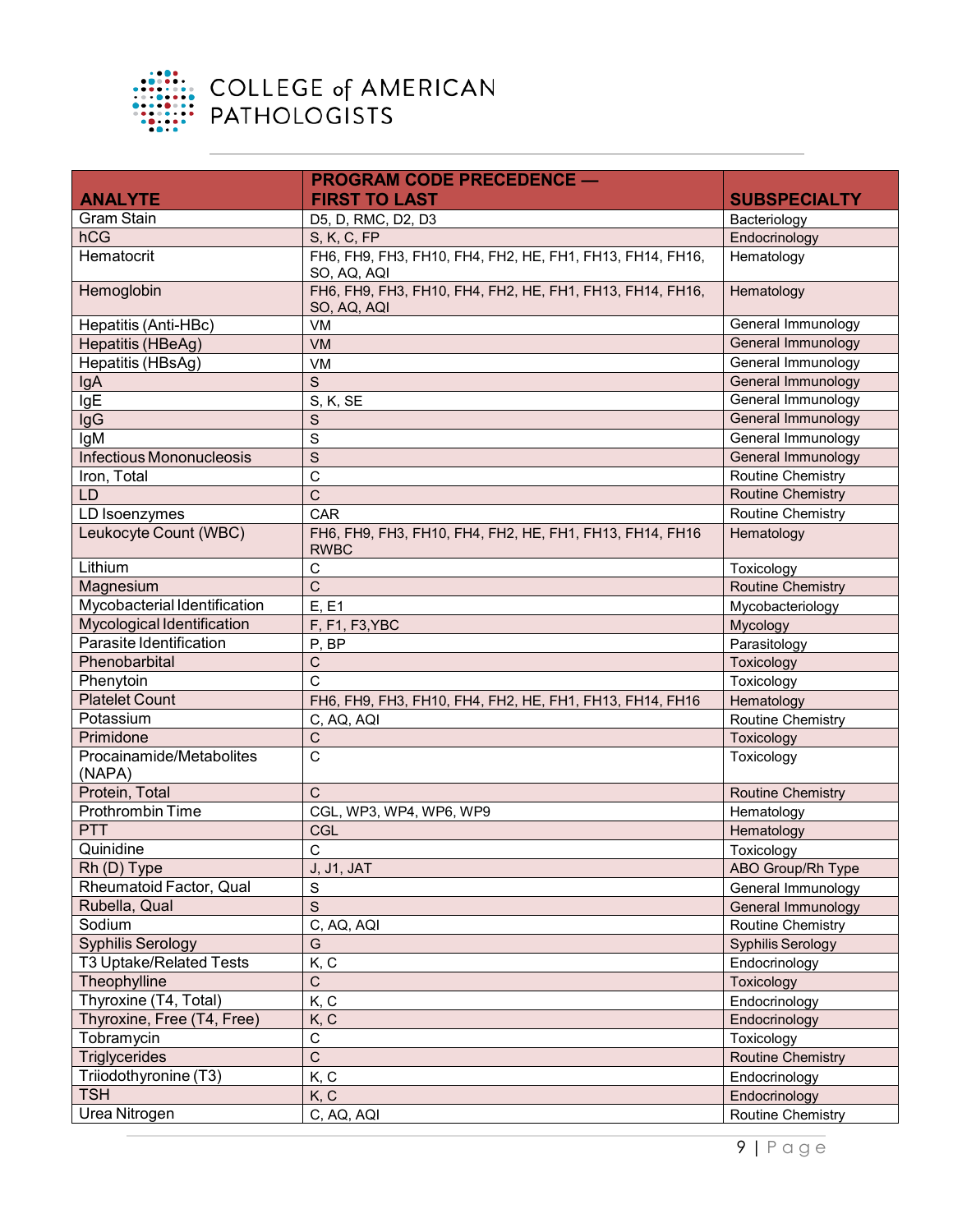

|                                    | <b>PROGRAM CODE PRECEDENCE -</b>                                         |                          |
|------------------------------------|--------------------------------------------------------------------------|--------------------------|
| <b>ANALYTE</b>                     | <b>FIRST TO LAST</b>                                                     | <b>SUBSPECIALTY</b>      |
| <b>Gram Stain</b>                  | D5, D, RMC, D2, D3                                                       | Bacteriology             |
| hCG                                | S, K, C, FP                                                              | Endocrinology            |
| Hematocrit                         | FH6, FH9, FH3, FH10, FH4, FH2, HE, FH1, FH13, FH14, FH16,<br>SO, AQ, AQI | Hematology               |
| Hemoglobin                         | FH6, FH9, FH3, FH10, FH4, FH2, HE, FH1, FH13, FH14, FH16,<br>SO, AQ, AQI | Hematology               |
| Hepatitis (Anti-HBc)               | VM                                                                       | General Immunology       |
| Hepatitis (HBeAg)                  | <b>VM</b>                                                                | General Immunology       |
| Hepatitis (HBsAg)                  | VM                                                                       | General Immunology       |
| IgA                                | S                                                                        | General Immunology       |
| lgE                                | S, K, SE                                                                 | General Immunology       |
| <b>IgG</b>                         | S                                                                        | General Immunology       |
| IgM                                | S                                                                        | General Immunology       |
| <b>Infectious Mononucleosis</b>    | $\overline{S}$                                                           | General Immunology       |
| Iron, Total                        | $\mathbf C$                                                              | <b>Routine Chemistry</b> |
| <b>LD</b>                          | $\overline{C}$                                                           | <b>Routine Chemistry</b> |
| LD Isoenzymes                      | CAR                                                                      | <b>Routine Chemistry</b> |
| Leukocyte Count (WBC)              | FH6, FH9, FH3, FH10, FH4, FH2, HE, FH1, FH13, FH14, FH16<br><b>RWBC</b>  | Hematology               |
| Lithium                            | $\mathsf C$                                                              | Toxicology               |
| Magnesium                          | $\mathsf{C}$                                                             | <b>Routine Chemistry</b> |
| Mycobacterial Identification       | E, E1                                                                    | Mycobacteriology         |
| Mycological Identification         | F, F1, F3, YBC                                                           | Mycology                 |
| Parasite Identification            | P, BP                                                                    | Parasitology             |
| Phenobarbital                      | $\mathsf C$                                                              | Toxicology               |
| Phenytoin                          | $\mathsf{C}$                                                             | Toxicology               |
| <b>Platelet Count</b>              | FH6, FH9, FH3, FH10, FH4, FH2, HE, FH1, FH13, FH14, FH16                 | Hematology               |
| Potassium                          | C, AQ, AQI                                                               | <b>Routine Chemistry</b> |
| Primidone                          | $\mathsf C$                                                              | Toxicology               |
| Procainamide/Metabolites<br>(NAPA) | $\mathsf C$                                                              | Toxicology               |
| Protein, Total                     | $\mathsf{C}$                                                             | <b>Routine Chemistry</b> |
| Prothrombin Time                   | CGL, WP3, WP4, WP6, WP9                                                  | Hematology               |
| <b>PTT</b>                         | CGL                                                                      | Hematology               |
| Quinidine                          | $\mathsf C$                                                              | Toxicology               |
| Rh (D) Type                        | <b>J, J1, JAT</b>                                                        | ABO Group/Rh Type        |
| Rheumatoid Factor, Qual            | S                                                                        | General Immunology       |
| Rubella, Qual                      | S                                                                        | General Immunology       |
| Sodium                             | C, AQ, AQI                                                               | <b>Routine Chemistry</b> |
| <b>Syphilis Serology</b>           | G                                                                        | <b>Syphilis Serology</b> |
| T3 Uptake/Related Tests            | K, C                                                                     | Endocrinology            |
| Theophylline                       | С                                                                        | Toxicology               |
| Thyroxine (T4, Total)              | K, C                                                                     | Endocrinology            |
| Thyroxine, Free (T4, Free)         | K, C                                                                     | Endocrinology            |
| Tobramycin                         | $\overline{C}$                                                           | Toxicology               |
| <b>Triglycerides</b>               | $\overline{C}$                                                           | <b>Routine Chemistry</b> |
| Triiodothyronine (T3)              | K, C                                                                     | Endocrinology            |
| <b>TSH</b>                         | K, C                                                                     | Endocrinology            |
| Urea Nitrogen                      | C, AQ, AQI                                                               | <b>Routine Chemistry</b> |
|                                    |                                                                          |                          |